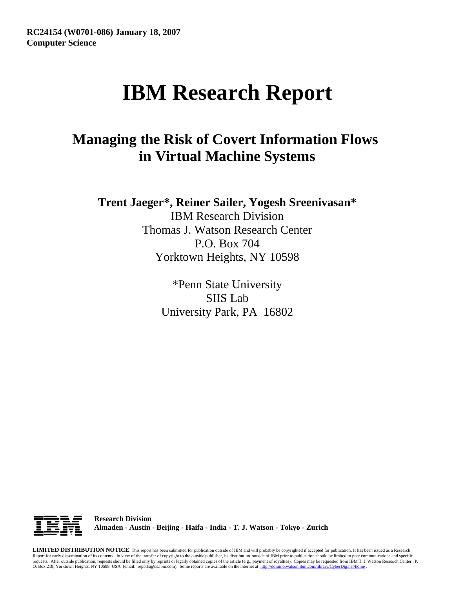# **IBM Research Report**

# **Managing the Risk of Covert Information Flows in Virtual Machine Systems**

**Trent Jaeger\*, Reiner Sailer, Yogesh Sreenivasan\*** IBM Research Division Thomas J. Watson Research Center P.O. Box 704 Yorktown Heights, NY 10598

> \*Penn State University SIIS Lab University Park, PA 16802



**Research Division Almaden - Austin - Beijing - Haifa - India - T. J. Watson - Tokyo - Zurich**

**LIMITED DISTRIBUTION NOTICE**: This report has been submitted for publication outside of IBM and will probably be copyrighted if accepted for publication. It has been issued as a Research Report for early dissemination of its contents. In view of the transfer of copyright to the outside publisher, its distribution outside of IBM prior to publication should be limited to peer communications and specific requests. After outside publication, requests should be filled only by reprints or legally obtained copies of the article (e.g. , payment of royalties). Copies may be requested from IBM T. J. Watson Research Center , P. O. Box 218, Yorktown Heights, NY 10598 USA (email: reports@us.ibm.com). Some reports are available on the internet at http://domino.watson.ibm.com/library/CyberDig.nsf/home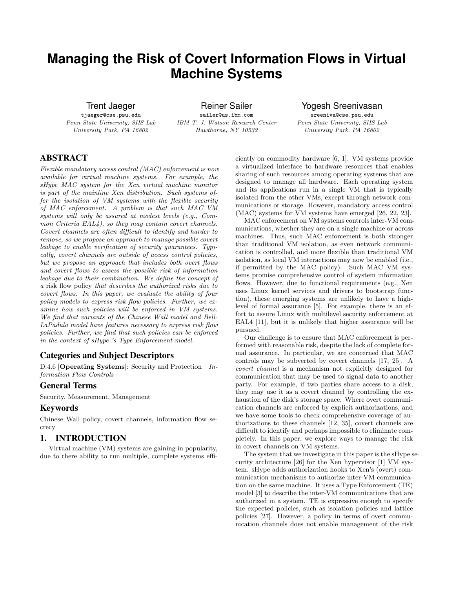# **Managing the Risk of Covert Information Flows in Virtual Machine Systems**

Trent Jaeger

tjaeger@cse.psu.edu Penn State University, SIIS Lab University Park, PA 16802

Reiner Sailer sailer@us.ibm.com IBM T. J. Watson Research Center Hawthorne, NY 10532

Yogesh Sreenivasan sreeniva@cse.psu.edu Penn State University, SIIS Lab University Park, PA 16802

# ABSTRACT

Flexible mandatory access control (MAC) enforcement is now available for virtual machine systems. For example, the sHype MAC system for the Xen virtual machine monitor is part of the mainline Xen distribution. Such systems offer the isolation of VM systems with the flexible security of MAC enforcement. A problem is that such MAC VM systems will only be assured at modest levels (e.g., Common Criteria EAL4), so they may contain covert channels. Covert channels are often difficult to identify and harder to remove, so we propose an approach to manage possible covert leakage to enable verification of security guarantees. Typically, covert channels are outside of access control policies, but we propose an approach that includes both overt flows and covert flows to assess the possible risk of information leakage due to their combination. We define the concept of a risk flow policy that describes the authorized risks due to covert flows. In this paper, we evaluate the ability of four policy models to express risk flow policies. Further, we examine how such policies will be enforced in VM systems. We find that variants of the Chinese Wall model and Bell-LaPadula model have features necessary to express risk flow policies. Further, we find that such policies can be enforced in the context of sHype 's Type Enforcement model.

# Categories and Subject Descriptors

D.4.6 [Operating Systems]: Security and Protection—Information Flow Controls

#### General Terms

Security, Measurement, Management

# Keywords

Chinese Wall policy, covert channels, information flow secrecy

# 1. INTRODUCTION

Virtual machine (VM) systems are gaining in popularity, due to there ability to run multiple, complete systems efficiently on commodity hardware [6, 1]. VM systems provide a virtualized interface to hardware resources that enables sharing of such resources among operating systems that are designed to manage all hardware. Each operating system and its applications run in a single VM that is typically isolated from the other VMs, except through network communications or storage. However, mandatory access control (MAC) systems for VM systems have emerged [26, 22, 23].

MAC enforcement on VM systems controls inter-VM communications, whether they are on a single machine or across machines. Thus, such MAC enforcement is both stronger than traditional VM isolation, as even network communication is controlled, and more flexible than traditional VM isolation, as local VM interactions may now be enabled (i.e., if permitted by the MAC policy). Such MAC VM systems promise comprehensive control of system information flows. However, due to functional requirements (e.g., Xen uses Linux kernel services and drivers to bootstrap function), these emerging systems are unlikely to have a highlevel of formal assurance [5]. For example, there is an effort to assure Linux with multilevel security enforcement at EAL4 [11], but it is unlikely that higher assurance will be pursued.

Our challenge is to ensure that MAC enforcement is performed with reasonable risk, despite the lack of complete formal assurance. In particular, we are concerned that MAC controls may be subverted by covert channels [17, 25]. A covert channel is a mechanism not explicitly designed for communication that may be used to signal data to another party. For example, if two parties share access to a disk, they may use it as a covert channel by controlling the exhaustion of the disk's storage space. Where overt communication channels are enforced by explicit authorizations, and we have some tools to check comprehensive coverage of authorizations to these channels [12, 35], covert channels are difficult to identify and perhaps impossible to eliminate completely. In this paper, we explore ways to manage the risk in covert channels on VM systems.

The system that we investigate in this paper is the sHype security architecture [26] for the Xen hypervisor [1] VM system. sHype adds authorization hooks to Xen's (overt) communication mechanisms to authorize inter-VM communication on the same machine. It uses a Type Enforcement (TE) model [3] to describe the inter-VM communications that are authorized in a system. TE is expressive enough to specify the expected policies, such as isolation policies and lattice policies [27]. However, a policy in terms of overt communication channels does not enable management of the risk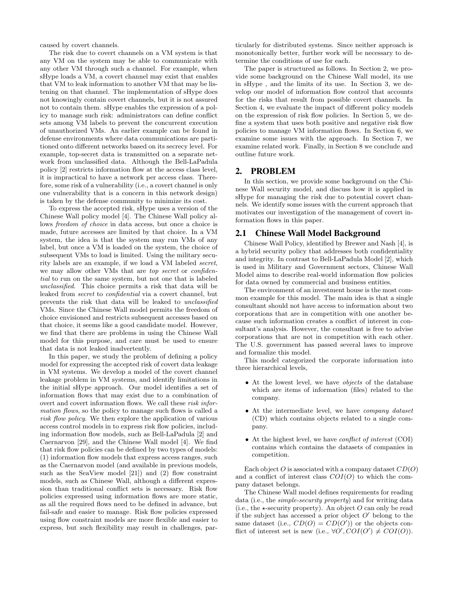caused by covert channels.

The risk due to covert channels on a VM system is that any VM on the system may be able to communicate with any other VM through such a channel. For example, when sHype loads a VM, a covert channel may exist that enables that VM to leak information to another VM that may be listening on that channel. The implementation of sHype does not knowingly contain covert channels, but it is not assured not to contain them. sHype enables the expression of a policy to manage such risk: administrators can define conflict sets among VM labels to prevent the concurrent execution of unauthorized VMs. An earlier example can be found in defense environments where data communications are partitioned onto different networks based on its secrecy level. For example, top-secret data is transmitted on a separate network from unclassified data. Although the Bell-LaPadula policy [2] restricts information flow at the access class level, it is impractical to have a network per access class. Therefore, some risk of a vulnerability (i.e., a covert channel is only one vulnerability that is a concern in this network design) is taken by the defense community to minimize its cost.

To express the accepted risk, sHype uses a version of the Chinese Wall policy model [4]. The Chinese Wall policy allows freedom of choice in data access, but once a choice is made, future accesses are limited by that choice. In a VM system, the idea is that the system may run VMs of any label, but once a VM is loaded on the system, the choice of subsequent VMs to load is limited. Using the military security labels are an example, if we load a VM labeled secret, we may allow other VMs that are top secret or confidential to run on the same system, but not one that is labeled unclassified. This choice permits a risk that data will be leaked from secret to confidential via a covert channel, but prevents the risk that data will be leaked to unclassified VMs. Since the Chinese Wall model permits the freedom of choice envisioned and restricts subsequent accesses based on that choice, it seems like a good candidate model. However, we find that there are problems in using the Chinese Wall model for this purpose, and care must be used to ensure that data is not leaked inadvertently.

In this paper, we study the problem of defining a policy model for expressing the accepted risk of covert data leakage in VM systems. We develop a model of the covert channel leakage problem in VM systems, and identify limitations in the initial sHype approach. Our model identifies a set of information flows that may exist due to a combination of overt and covert information flows. We call these risk information flows, so the policy to manage such flows is called a risk flow policy. We then explore the application of various access control models in to express risk flow policies, including information flow models, such as Bell-LaPadula [2] and Caernarvon [29], and the Chinese Wall model [4]. We find that risk flow policies can be defined by two types of models: (1) information flow models that express access ranges, such as the Caernarvon model (and available in previous models, such as the SeaView model [21]) and (2) flow constraint models, such as Chinese Wall, although a different expression than traditional conflict sets is necessary. Risk flow policies expressed using information flows are more static, as all the required flows need to be defined in advance, but fail-safe and easier to manage. Risk flow policies expressed using flow constraint models are more flexible and easier to express, but such flexibility may result in challenges, particularly for distributed systems. Since neither approach is monotonically better, further work will be necessary to determine the conditions of use for each.

The paper is structured as follows. In Section 2, we provide some background on the Chinese Wall model, its use in sHype , and the limits of its use. In Section 3, we develop our model of information flow control that accounts for the risks that result from possible covert channels. In Section 4, we evaluate the impact of different policy models on the expression of risk flow policies. In Section 5, we define a system that uses both positive and negative risk flow policies to manage VM information flows. In Section 6, we examine some issues with the approach. In Section 7, we examine related work. Finally, in Section 8 we conclude and outline future work.

### 2. PROBLEM

In this section, we provide some background on the Chinese Wall security model, and discuss how it is applied in sHype for managing the risk due to potential covert channels. We identify some issues with the current approach that motivates our investigation of the management of covert information flows in this paper.

### 2.1 Chinese Wall Model Background

Chinese Wall Policy, identified by Brewer and Nash [4], is a hybrid security policy that addresses both confidentiality and integrity. In contrast to Bell-LaPadula Model [2], which is used in Military and Government sectors, Chinese Wall Model aims to describe real-world information flow policies for data owned by commercial and business entities.

The environment of an investment house is the most common example for this model. The main idea is that a single consultant should not have access to information about two corporations that are in competition with one another because such information creates a conflict of interest in consultant's analysis. However, the consultant is free to advise corporations that are not in competition with each other. The U.S. government has passed several laws to improve and formalize this model.

This model categorized the corporate information into three hierarchical levels,

- At the lowest level, we have *objects* of the database which are items of information (files) related to the company.
- At the intermediate level, we have *company dataset* (CD) which contains objects related to a single company.
- At the highest level, we have *conflict of interest* (COI) contains which contains the datasets of companies in competition.

Each object O is associated with a company dataset  $CD(O)$ and a conflict of interest class  $COI(O)$  to which the company dataset belongs.

The Chinese Wall model defines requirements for reading data (i.e., the simple-security property) and for writing data (i.e., the  $\star$ -security property). An object O can only be read if the subject has accessed a prior object  $O'$  belong to the same dataset (i.e.,  $CD(O) = CD(O'))$  or the objects conflict of interest set is new (i.e.,  $\forall O', COI(O') \neq COI(O)$ ).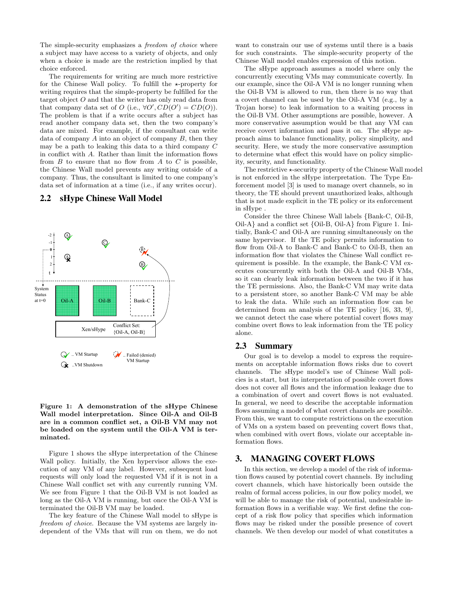The simple-security emphasizes a freedom of choice where a subject may have access to a variety of objects, and only when a choice is made are the restriction implied by that choice enforced.

The requirements for writing are much more restrictive for the Chinese Wall policy. To fulfill the  $\star$ -property for writing requires that the simple-property be fulfilled for the target object O and that the writer has only read data from that company data set of O (i.e.,  $\forall O', CD(O') = CD(O)$ ). The problem is that if a write occurs after a subject has read another company data set, then the two company's data are mixed. For example, if the consultant can write data of company  $A$  into an object of company  $B$ , then they may be a path to leaking this data to a third company C in conflict with  $A$ . Rather than limit the information flows from  $B$  to ensure that no flow from  $A$  to  $C$  is possible, the Chinese Wall model prevents any writing outside of a company. Thus, the consultant is limited to one company's data set of information at a time (i.e., if any writes occur).

#### 2.2 sHype Chinese Wall Model



Figure 1: A demonstration of the sHype Chinese Wall model interpretation. Since Oil-A and Oil-B are in a common conflict set, a Oil-B VM may not be loaded on the system until the Oil-A VM is terminated.

Figure 1 shows the sHype interpretation of the Chinese Wall policy. Initially, the Xen hypervisor allows the execution of any VM of any label. However, subsequent load requests will only load the requested VM if it is not in a Chinese Wall conflict set with any currently running VM. We see from Figure 1 that the Oil-B VM is not loaded as long as the Oil-A VM is running, but once the Oil-A VM is terminated the Oil-B VM may be loaded.

The key feature of the Chinese Wall model to sHype is freedom of choice. Because the VM systems are largely independent of the VMs that will run on them, we do not

want to constrain our use of systems until there is a basis for such constraints. The simple-security property of the Chinese Wall model enables expression of this notion.

The sHype approach assumes a model where only the concurrently executing VMs may communicate covertly. In our example, since the Oil-A VM is no longer running when the Oil-B VM is allowed to run, then there is no way that a covert channel can be used by the Oil-A VM (e.g., by a Trojan horse) to leak information to a waiting process in the Oil-B VM. Other assumptions are possible, however. A more conservative assumption would be that any VM can receive covert information and pass it on. The sHype approach aims to balance functionality, policy simplicity, and security. Here, we study the more conservative assumption to determine what effect this would have on policy simplicity, security, and functionality.

The restrictive  $\star$ -security property of the Chinese Wall model is not enforced in the sHype interpretation. The Type Enforcement model [3] is used to manage overt channels, so in theory, the TE should prevent unauthorized leaks, although that is not made explicit in the TE policy or its enforcement in sHype .

Consider the three Chinese Wall labels {Bank-C, Oil-B, Oil-A} and a conflict set {Oil-B, Oil-A} from Figure 1. Initially, Bank-C and Oil-A are running simultaneously on the same hypervisor. If the TE policy permits information to flow from Oil-A to Bank-C and Bank-C to Oil-B, then an information flow that violates the Chinese Wall conflict requirement is possible. In the example, the Bank-C VM executes concurrently with both the Oil-A and Oil-B VMs, so it can clearly leak information between the two if it has the TE permissions. Also, the Bank-C VM may write data to a persistent store, so another Bank-C VM may be able to leak the data. While such an information flow can be determined from an analysis of the TE policy [16, 33, 9], we cannot detect the case where potential covert flows may combine overt flows to leak information from the TE policy alone.

#### 2.3 Summary

Our goal is to develop a model to express the requirements on acceptable information flows risks due to covert channels. The sHype model's use of Chinese Wall policies is a start, but its interpretation of possible covert flows does not cover all flows and the information leakage due to a combination of overt and covert flows is not evaluated. In general, we need to describe the acceptable information flows assuming a model of what covert channels are possible. From this, we want to compute restrictions on the execution of VMs on a system based on preventing covert flows that, when combined with overt flows, violate our acceptable information flows.

## 3. MANAGING COVERT FLOWS

In this section, we develop a model of the risk of information flows caused by potential covert channels. By including covert channels, which have historically been outside the realm of formal access policies, in our flow policy model, we will be able to manage the risk of potential, undesirable information flows in a verifiable way. We first define the concept of a risk flow policy that specifies which information flows may be risked under the possible presence of covert channels. We then develop our model of what constitutes a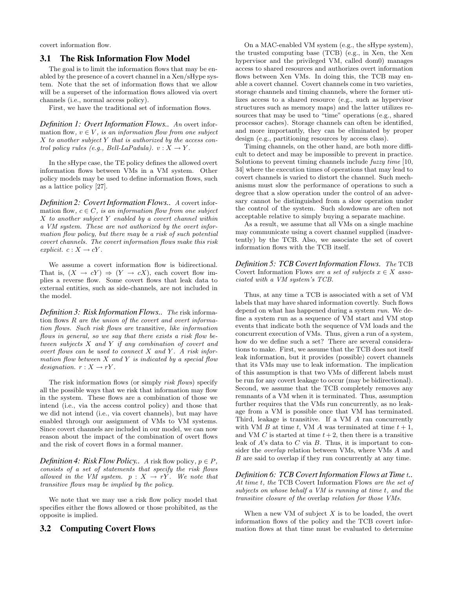covert information flow.

#### 3.1 The Risk Information Flow Model

The goal is to limit the information flows that may be enabled by the presence of a covert channel in a Xen/sHype system. Note that the set of information flows that we allow will be a superset of the information flows allowed via overt channels (i.e., normal access policy).

First, we have the traditional set of information flows.

*Definition 1: Overt Information Flows..* An overt information flow,  $v \in V$ , is an information flow from one subject  $X$  to another subject Y that is authorized by the access control policy rules (e.g., Bell-LaPadula).  $v: X \to Y$ .

In the sHype case, the TE policy defines the allowed overt information flows between VMs in a VM system. Other policy models may be used to define information flows, such as a lattice policy [27].

*Definition 2: Covert Information Flows..* A covert information flow,  $c \in C$ , is an information flow from one subject  $X$  to another subject Y enabled by a covert channel within a VM system. These are not authorized by the overt information flow policy, but there may be a risk of such potential covert channels. The covert information flows make this risk explicit.  $c: X \to cY$ .

We assume a covert information flow is bidirectional. That is,  $(X \to cY) \Rightarrow (Y \to cX)$ , each covert flow implies a reverse flow. Some covert flows that leak data to external entities, such as side-channels, are not included in the model.

*Definition 3: Risk Information Flows..* The risk information flows R are the union of the covert and overt information flows. Such risk flows are transitive, like information flows in general, so we say that there exists a risk flow between subjects X and Y if any combination of covert and overt flows can be used to connect  $X$  and  $Y$ . A risk information flow between  $X$  and  $Y$  is indicated by a special flow designation.  $r: X \rightarrow rY$ .

The risk information flows (or simply *risk flows*) specify all the possible ways that we risk that information may flow in the system. These flows are a combination of those we intend (i.e., via the access control policy) and those that we did not intend (i.e., via covert channels), but may have enabled through our assignment of VMs to VM systems. Since covert channels are included in our model, we can now reason about the impact of the combination of overt flows and the risk of covert flows in a formal manner.

*Definition 4: Risk Flow Policy.. A* risk flow policy,  $p \in P$ , consists of a set of statements that specify the risk flows allowed in the VM system.  $p : X \rightarrow rY$ . We note that transitive flows may be implied by the policy.

We note that we may use a risk flow policy model that specifies either the flows allowed or those prohibited, as the opposite is implied.

#### 3.2 Computing Covert Flows

On a MAC-enabled VM system (e.g., the sHype system), the trusted computing base (TCB) (e.g., in Xen, the Xen hypervisor and the privileged VM, called dom0) manages access to shared resources and authorizes overt information flows between Xen VMs. In doing this, the TCB may enable a covert channel. Covert channels come in two varieties, storage channels and timing channels, where the former utilizes access to a shared resource (e.g., such as hypervisor structures such as memory maps) and the latter utilizes resources that may be used to "time" operations (e.g., shared processor caches). Storage channels can often be identified, and more importantly, they can be eliminated by proper design (e.g., partitioning resources by access class).

Timing channels, on the other hand, are both more difficult to detect and may be impossible to prevent in practice. Solutions to prevent timing channels include *fuzzy time* [10, 34] where the execution times of operations that may lead to covert channels is varied to distort the channel. Such mechanisms must slow the performance of operations to such a degree that a slow operation under the control of an adversary cannot be distinguished from a slow operation under the control of the system. Such slowdowns are often not acceptable relative to simply buying a separate machine.

As a result, we assume that all VMs on a single machine may communicate using a covert channel supplied (inadvertently) by the TCB. Also, we associate the set of covert information flows with the TCB itself.

*Definition 5: TCB Covert Information Flows.* The TCB Covert Information Flows are a set of subjects  $x \in X$  associated with a VM system's TCB.

Thus, at any time a TCB is associated with a set of VM labels that may have shared information covertly. Such flows depend on what has happened during a system run. We define a system run as a sequence of VM start and VM stop events that indicate both the sequence of VM loads and the concurrent execution of VMs. Thus, given a run of a system, how do we define such a set? There are several considerations to make. First, we assume that the TCB does not itself leak information, but it provides (possible) covert channels that its VMs may use to leak information. The implication of this assumption is that two VMs of different labels must be run for any covert leakage to occur (may be bidirectional). Second, we assume that the TCB completely removes any remnants of a VM when it is terminated. Thus, assumption further requires that the VMs run concurrently, as no leakage from a VM is possible once that VM has terminated. Third, leakage is transitive. If a VM A ran concurrently with VM B at time t, VM A was terminated at time  $t + 1$ , and VM C is started at time  $t + 2$ , then there is a transitive leak of  $A$ 's data to  $C$  via  $B$ . Thus, it is important to consider the overlap relation between VMs, where VMs A and B are said to overlap if they run concurrently at any time.

*Definition 6: TCB Covert Information Flows at Time* t*..* At time t, the TCB Covert Information Flows are the set of subjects on whose behalf a VM is running at time t, and the transitive closure of the overlap relation for those VMs.

When a new VM of subject  $X$  is to be loaded, the overt information flows of the policy and the TCB covert information flows at that time must be evaluated to determine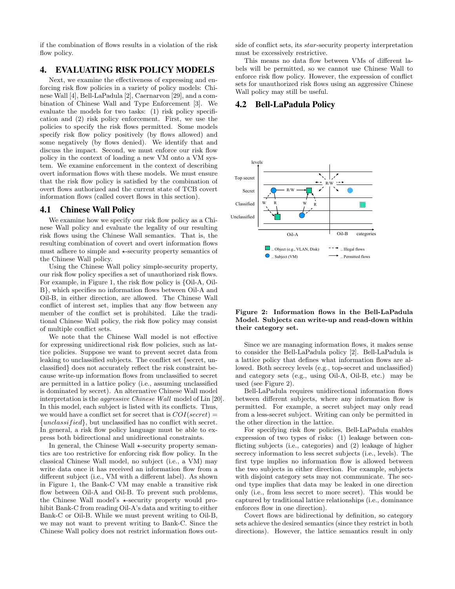if the combination of flows results in a violation of the risk flow policy.

# 4. EVALUATING RISK POLICY MODELS

Next, we examine the effectiveness of expressing and enforcing risk flow policies in a variety of policy models: Chinese Wall [4], Bell-LaPadula [2], Caernarvon [29], and a combination of Chinese Wall and Type Enforcement [3]. We evaluate the models for two tasks: (1) risk policy specification and (2) risk policy enforcement. First, we use the policies to specify the risk flows permitted. Some models specify risk flow policy positively (by flows allowed) and some negatively (by flows denied). We identify that and discuss the impact. Second, we must enforce our risk flow policy in the context of loading a new VM onto a VM system. We examine enforcement in the context of describing overt information flows with these models. We must ensure that the risk flow policy is satisfied by the combination of overt flows authorized and the current state of TCB covert information flows (called covert flows in this section).

#### 4.1 Chinese Wall Policy

We examine how we specify our risk flow policy as a Chinese Wall policy and evaluate the legality of our resulting risk flows using the Chinese Wall semantics. That is, the resulting combination of covert and overt information flows must adhere to simple and  $\star$ -security property semantics of the Chinese Wall policy.

Using the Chinese Wall policy simple-security property, our risk flow policy specifies a set of unauthorized risk flows. For example, in Figure 1, the risk flow policy is {Oil-A, Oil-B}, which specifies no information flows between Oil-A and Oil-B, in either direction, are allowed. The Chinese Wall conflict of interest set, implies that any flow between any member of the conflict set is prohibited. Like the traditional Chinese Wall policy, the risk flow policy may consist of multiple conflict sets.

We note that the Chinese Wall model is not effective for expressing unidirectional risk flow policies, such as lattice policies. Suppose we want to prevent secret data from leaking to unclassified subjects. The conflict set {secret, unclassified} does not accurately reflect the risk constraint because write-up information flows from unclassified to secret are permitted in a lattice policy (i.e., assuming unclassified is dominated by secret). An alternative Chinese Wall model interpretation is the aggressive Chinese Wall model of Lin [20]. In this model, each subject is listed with its conflicts. Thus, we would have a conflict set for secret that is  $COI(secret) =$ {*unclassified*}, but unclassified has no conflict with secret. In general, a risk flow policy language must be able to express both bidirectional and unidirectional constraints.

In general, the Chinese Wall  $\star$ -security property semantics are too restrictive for enforcing risk flow policy. In the classical Chinese Wall model, no subject (i.e., a VM) may write data once it has received an information flow from a different subject (i.e., VM with a different label). As shown in Figure 1, the Bank-C VM may enable a transitive risk flow between Oil-A and Oil-B. To prevent such problems, the Chinese Wall model's  $\star$ -security property would prohibit Bank-C from reading Oil-A's data and writing to either Bank-C or Oil-B. While we must prevent writing to Oil-B, we may not want to prevent writing to Bank-C. Since the Chinese Wall policy does not restrict information flows outside of conflict sets, its star-security property interpretation must be excessively restrictive.

This means no data flow between VMs of different labels will be permitted, so we cannot use Chinese Wall to enforce risk flow policy. However, the expression of conflict sets for unauthorized risk flows using an aggressive Chinese Wall policy may still be useful.

#### 4.2 Bell-LaPadula Policy



#### Figure 2: Information flows in the Bell-LaPadula Model. Subjects can write-up and read-down within their category set.

Since we are managing information flows, it makes sense to consider the Bell-LaPadula policy [2]. Bell-LaPadula is a lattice policy that defines what information flows are allowed. Both secrecy levels (e.g., top-secret and unclassified) and category sets (e.g., using Oil-A, Oil-B, etc.) may be used (see Figure 2).

Bell-LaPadula requires unidirectional information flows between different subjects, where any information flow is permitted. For example, a secret subject may only read from a less-secret subject. Writing can only be permitted in the other direction in the lattice.

For specifying risk flow policies, Bell-LaPadula enables expression of two types of risks: (1) leakage between conflicting subjects (i.e., categories) and (2) leakage of higher secrecy information to less secret subjects (i.e., levels). The first type implies no information flow is allowed between the two subjects in either direction. For example, subjects with disjoint category sets may not communicate. The second type implies that data may be leaked in one direction only (i.e., from less secret to more secret). This would be captured by traditional lattice relationships (i.e., dominance enforces flow in one direction).

Covert flows are bidirectional by definition, so category sets achieve the desired semantics (since they restrict in both directions). However, the lattice semantics result in only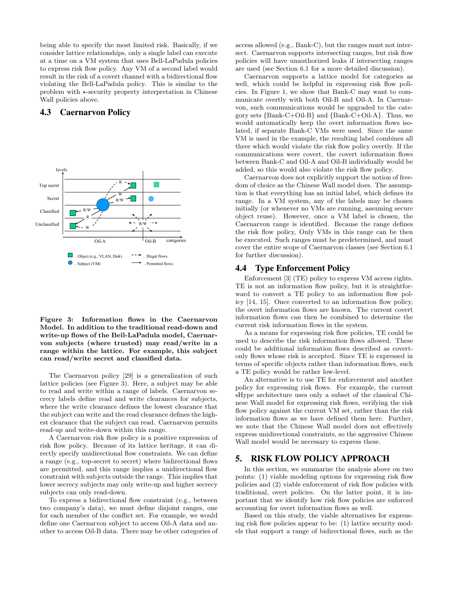being able to specify the most limited risk. Basically, if we consider lattice relationships, only a single label can execute at a time on a VM system that uses Bell-LaPadula policies to express risk flow policy. Any VM of a second label would result in the risk of a covert channel with a bidirectional flow violating the Bell-LaPadula policy. This is similar to the problem with  $\star$ -security property interpretation in Chinese Wall policies above.

### 4.3 Caernarvon Policy



Figure 3: Information flows in the Caernarvon Model. In addition to the traditional read-down and write-up flows of the Bell-LaPadula model, Caernarvon subjects (where trusted) may read/write in a range within the lattice. For example, this subject can read/write secret and classified data.

The Caernarvon policy [29] is a generalization of such lattice policies (see Figure 3). Here, a subject may be able to read and write within a range of labels. Caernarvon secrecy labels define read and write clearances for subjects, where the write clearance defines the lowest clearance that the subject can write and the read clearance defines the highest clearance that the subject can read. Caernarvon permits read-up and write-down within this range.

A Caernarvon risk flow policy is a positive expression of risk flow policy. Because of its lattice heritage, it can directly specify unidirectional flow constraints. We can define a range (e.g., top-secret to secret) where bidirectional flows are permitted, and this range implies a unidirectional flow constraint with subjects outside the range. This implies that lower secrecy subjects may only write-up and higher secrecy subjects can only read-down.

To express a bidirectional flow constraint (e.g., between two company's data), we must define disjoint ranges, one for each member of the conflict set. For example, we would define one Caernarvon subject to access Oil-A data and another to access Oil-B data. There may be other categories of access allowed (e.g., Bank-C), but the ranges must not intersect. Caernarvon supports intersecting ranges, but risk flow policies will have unauthorized leaks if intersecting ranges are used (see Section 6.1 for a more detailed discussion).

Caernarvon supports a lattice model for categories as well, which could be helpful in expressing risk flow policies. In Figure 1, we show that Bank-C may want to communicate overtly with both Oil-B and Oil-A. In Caernarvon, such communications would be upgraded to the category sets  ${Bank-C+Oil-B}$  and  ${Bank-C+Oil-A}$ . Thus, we would automatically keep the overt information flows isolated, if separate Bank-C VMs were used. Since the same VM is used in the example, the resulting label combines all three which would violate the risk flow policy overtly. If the communications were covert, the covert information flows between Bank-C and Oil-A and Oil-B individually would be added, so this would also violate the risk flow policy.

Caernarvon does not explicitly support the notion of freedom of choice as the Chinese Wall model does. The assumption is that everything has an initial label, which defines its range. In a VM system, any of the labels may be chosen initially (or whenever no VMs are running, assuming secure object reuse). However, once a VM label is chosen, the Caernarvon range is identified. Because the range defines the risk flow policy, Only VMs in this range can be then be executed. Such ranges must be predetermined, and must cover the entire scope of Caernarvon classes (see Section 6.1 for further discussion).

#### 4.4 Type Enforcement Policy

Enforcement [3] (TE) policy to express VM access rights. TE is not an information flow policy, but it is straightforward to convert a TE policy to an information flow policy [14, 15]. Once converted to an information flow policy, the overt information flows are known. The current covert information flows can then be combined to determine the current risk information flows in the system.

As a means for expressing risk flow policies, TE could be used to describe the risk information flows allowed. These could be additional information flows described as covertonly flows whose risk is accepted. Since TE is expressed in terms of specific objects rather than information flows, such a TE policy would be rather low-level.

An alternative is to use TE for enforcement and another policy for expressing risk flows. For example, the current sHype architecture uses only a subset of the classical Chinese Wall model for expressing risk flows, verifying the risk flow policy against the current VM set, rather than the risk information flows as we have defined them here. Further, we note that the Chinese Wall model does not effectively express unidirectional constraints, so the aggressive Chinese Wall model would be necessary to express these.

# 5. RISK FLOW POLICY APPROACH

In this section, we summarize the analysis above on two points: (1) viable modeling options for expressing risk flow policies and (2) viable enforcement of risk flow policies with traditional, overt policies. On the latter point, it is important that we identify how risk flow policies are enforced accounting for overt information flows as well.

Based on this study, the viable alternatives for expressing risk flow policies appear to be: (1) lattice security models that support a range of bidirectional flows, such as the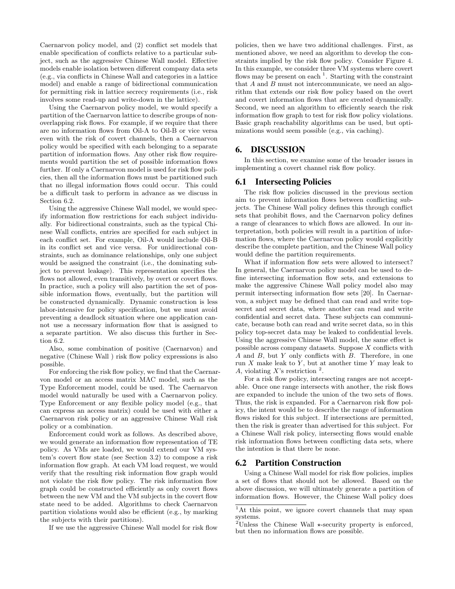Caernarvon policy model, and (2) conflict set models that enable specification of conflicts relative to a particular subject, such as the aggressive Chinese Wall model. Effective models enable isolation between different company data sets (e.g., via conflicts in Chinese Wall and categories in a lattice model) and enable a range of bidirectional communication for permitting risk in lattice secrecy requirements (i.e., risk involves some read-up and write-down in the lattice).

Using the Caernarvon policy model, we would specify a partition of the Caernarvon lattice to describe groups of nonoverlapping risk flows. For example, if we require that there are no information flows from Oil-A to Oil-B or vice versa even with the risk of covert channels, then a Caernarvon policy would be specified with each belonging to a separate partition of information flows. Any other risk flow requirements would partition the set of possible information flows further. If only a Caernarvon model is used for risk flow policies, then all the information flows must be partitioned such that no illegal information flows could occur. This could be a difficult task to perform in advance as we discuss in Section 6.2.

Using the aggressive Chinese Wall model, we would specify information flow restrictions for each subject individually. For bidirectional constraints, such as the typical Chinese Wall conflicts, entries are specified for each subject in each conflict set. For example, Oil-A would include Oil-B in its conflict set and vice versa. For unidirectional constraints, such as dominance relationships, only one subject would be assigned the constraint (i.e., the dominating subject to prevent leakage). This representation specifies the flows not allowed, even transitively, by overt or covert flows. In practice, such a policy will also partition the set of possible information flows, eventually, but the partition will be constructed dynamically. Dynamic construction is less labor-intensive for policy specification, but we must avoid preventing a deadlock situation where one application cannot use a necessary information flow that is assigned to a separate partition. We also discuss this further in Section 6.2.

Also, some combination of positive (Caernarvon) and negative (Chinese Wall ) risk flow policy expressions is also possible.

For enforcing the risk flow policy, we find that the Caernarvon model or an access matrix MAC model, such as the Type Enforcement model, could be used. The Caernarvon model would naturally be used with a Caernarvon policy. Type Enforcement or any flexible policy model (e.g., that can express an access matrix) could be used with either a Caernarvon risk policy or an aggressive Chinese Wall risk policy or a combination.

Enforcement could work as follows. As described above, we would generate an information flow representation of TE policy. As VMs are loaded, we would extend our VM system's covert flow state (see Section 3.2) to compose a risk information flow graph. At each VM load request, we would verify that the resulting risk information flow graph would not violate the risk flow policy. The risk information flow graph could be constructed efficiently as only covert flows between the new VM and the VM subjects in the covert flow state need to be added. Algorithms to check Caernarvon partition violations would also be efficient (e.g., by marking the subjects with their partitions).

If we use the aggressive Chinese Wall model for risk flow

policies, then we have two additional challenges. First, as mentioned above, we need an algorithm to develop the constraints implied by the risk flow policy. Consider Figure 4. In this example, we consider three VM systems where covert flows may be present on each  $<sup>1</sup>$ . Starting with the constraint</sup> that A and B must not intercommunicate, we need an algorithm that extends our risk flow policy based on the overt and covert information flows that are created dynamically. Second, we need an algorithm to efficiently search the risk information flow graph to test for risk flow policy violations. Basic graph reachability algorithms can be used, but optimizations would seem possible (e.g., via caching).

#### 6. DISCUSSION

In this section, we examine some of the broader issues in implementing a covert channel risk flow policy.

#### 6.1 Intersecting Policies

The risk flow policies discussed in the previous section aim to prevent information flows between conflicting subjects. The Chinese Wall policy defines this through conflict sets that prohibit flows, and the Caernarvon policy defines a range of clearances to which flows are allowed. In our interpretation, both policies will result in a partition of information flows, where the Caernarvon policy would explicitly describe the complete partition, and the Chinese Wall policy would define the partition requirements.

What if information flow sets were allowed to intersect? In general, the Caernarvon policy model can be used to define intersecting information flow sets, and extensions to make the aggressive Chinese Wall policy model also may permit intersecting information flow sets [20]. In Caernarvon, a subject may be defined that can read and write topsecret and secret data, where another can read and write confidential and secret data. These subjects can communicate, because both can read and write secret data, so in this policy top-secret data may be leaked to confidential levels. Using the aggressive Chinese Wall model, the same effect is possible across company datasets. Suppose  $X$  conflicts with A and B, but Y only conflicts with B. Therefore, in one run  $X$  make leak to  $Y$ , but at another time  $Y$  may leak to A, violating  $X$ 's restriction<sup>2</sup>.

For a risk flow policy, intersecting ranges are not acceptable. Once one range intersects with another, the risk flows are expanded to include the union of the two sets of flows. Thus, the risk is expanded. For a Caernarvon risk flow policy, the intent would be to describe the range of information flows risked for this subject. If intersections are permitted, then the risk is greater than advertised for this subject. For a Chinese Wall risk policy, intersecting flows would enable risk information flows between conflicting data sets, where the intention is that there be none.

#### 6.2 Partition Construction

Using a Chinese Wall model for risk flow policies, implies a set of flows that should not be allowed. Based on the above discussion, we will ultimately generate a partition of information flows. However, the Chinese Wall policy does

<sup>&</sup>lt;sup>1</sup>At this point, we ignore covert channels that may span systems.

<sup>&</sup>lt;sup>2</sup>Unless the Chinese Wall  $\star$ -security property is enforced, but then no information flows are possible.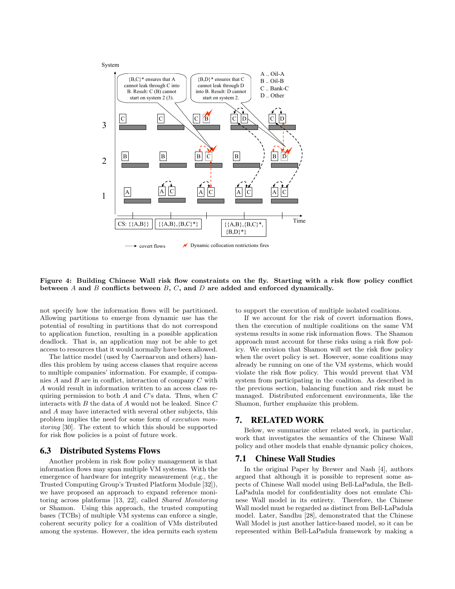

Figure 4: Building Chinese Wall risk flow constraints on the fly. Starting with a risk flow policy conflict between A and B conflicts between  $B, C$ , and D are added and enforced dynamically.

not specify how the information flows will be partitioned. Allowing partitions to emerge from dynamic use has the potential of resulting in partitions that do not correspond to application function, resulting in a possible application deadlock. That is, an application may not be able to get access to resources that it would normally have been allowed.

The lattice model (used by Caernarvon and others) handles this problem by using access classes that require access to multiple companies' information. For example, if companies  $A$  and  $B$  are in conflict, interaction of company  $C$  with A would result in information written to an access class requiring permission to both  $A$  and  $C$ 's data. Thus, when  $C$ interacts with  $B$  the data of  $A$  would not be leaked. Since  $C$ and A may have interacted with several other subjects, this problem implies the need for some form of execution monitoring [30]. The extent to which this should be supported for risk flow policies is a point of future work.

#### 6.3 Distributed Systems Flows

Another problem in risk flow policy management is that information flows may span multiple VM systems. With the emergence of hardware for integrity measurement (e.g., the Trusted Computing Group's Trusted Platform Module [32]), we have proposed an approach to expand reference monitoring across platforms [13, 22], called Shared Monitoring or Shamon. Using this approach, the trusted computing bases (TCBs) of multiple VM systems can enforce a single, coherent security policy for a coalition of VMs distributed among the systems. However, the idea permits each system to support the execution of multiple isolated coalitions.

If we account for the risk of covert information flows, then the execution of multiple coalitions on the same VM systems results in some risk information flows. The Shamon approach must account for these risks using a risk flow policy. We envision that Shamon will set the risk flow policy when the overt policy is set. However, some coalitions may already be running on one of the VM systems, which would violate the risk flow policy. This would prevent that VM system from participating in the coalition. As described in the previous section, balancing function and risk must be managed. Distributed enforcement environments, like the Shamon, further emphasize this problem.

#### 7. RELATED WORK

Below, we summarize other related work, in particular, work that investigates the semantics of the Chinese Wall policy and other models that enable dynamic policy choices,

#### 7.1 Chinese Wall Studies

In the original Paper by Brewer and Nash [4], authors argued that although it is possible to represent some aspects of Chinese Wall model using Bell-LaPadula, the Bell-LaPadula model for confidentiality does not emulate Chinese Wall model in its entirety. Therefore, the Chinese Wall model must be regarded as distinct from Bell-LaPadula model. Later, Sandhu [28], demonstrated that the Chinese Wall Model is just another lattice-based model, so it can be represented within Bell-LaPadula framework by making a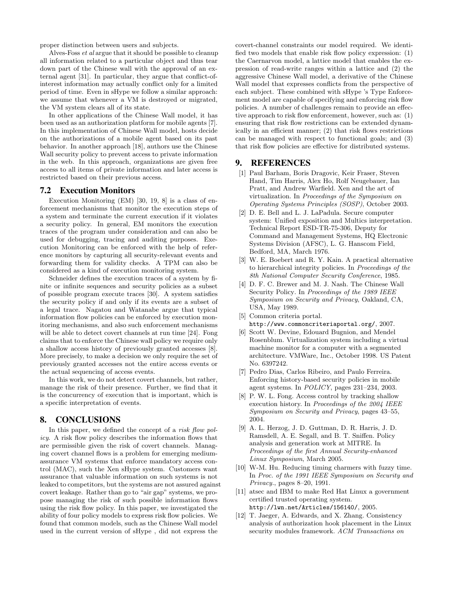proper distinction between users and subjects.

Alves-Foss et al argue that it should be possible to cleanup all information related to a particular object and thus tear down part of the Chinese wall with the approval of an external agent [31]. In particular, they argue that conflict-ofinterest information may actually conflict only for a limited period of time. Even in sHype we follow a similar approach: we assume that whenever a VM is destroyed or migrated, the VM system clears all of its state.

In other applications of the Chinese Wall model, it has been used as an authorization platform for mobile agents [7]. In this implementation of Chinese Wall model, hosts decide on the authorizations of a mobile agent based on its past behavior. In another approach [18], authors use the Chinese Wall security policy to prevent access to private information in the web. In this approach, organizations are given free access to all items of private information and later access is restricted based on their previous access.

#### 7.2 Execution Monitors

Execution Monitoring (EM) [30, 19, 8] is a class of enforcement mechanisms that monitor the execution steps of a system and terminate the current execution if it violates a security policy. In general, EM monitors the execution traces of the program under consideration and can also be used for debugging, tracing and auditing purposes. Execution Monitoring can be enforced with the help of reference monitors by capturing all security-relevant events and forwarding them for validity checks. A TPM can also be considered as a kind of execution monitoring system.

Schneider defines the execution traces of a system by finite or infinite sequences and security policies as a subset of possible program execute traces [30]. A system satisfies the security policy if and only if its events are a subset of a legal trace. Nagatou and Watanabe argue that typical information flow policies can be enforced by execution monitoring mechanisms, and also such enforcement mechanisms will be able to detect covert channels at run time [24]. Fong claims that to enforce the Chinese wall policy we require only a shallow access history of previously granted accesses [8]. More precisely, to make a decision we only require the set of previously granted accesses not the entire access events or the actual sequencing of access events.

In this work, we do not detect covert channels, but rather, manage the risk of their presence. Further, we find that it is the concurrency of execution that is important, which is a specific interpretation of events.

#### 8. CONCLUSIONS

In this paper, we defined the concept of a risk flow policy. A risk flow policy describes the information flows that are permissible given the risk of covert channels. Managing covert channel flows is a problem for emerging mediumassurance VM systems that enforce mandatory access control (MAC), such the Xen sHype system. Customers want assurance that valuable information on such systems is not leaked to competitors, but the systems are not assured against covert leakage. Rather than go to "air gap" systems, we propose managing the risk of such possible information flows using the risk flow policy. In this paper, we investigated the ability of four policy models to express risk flow policies. We found that common models, such as the Chinese Wall model used in the current version of sHype , did not express the

covert-channel constraints our model required. We identified two models that enable risk flow policy expression: (1) the Caernarvon model, a lattice model that enables the expression of read-write ranges within a lattice and (2) the aggressive Chinese Wall model, a derivative of the Chinese Wall model that expresses conflicts from the perspective of each subject. These combined with sHype 's Type Enforcement model are capable of specifying and enforcing risk flow policies. A number of challenges remain to provide an effective approach to risk flow enforcement, however, such as: (1) ensuring that risk flow restrictions can be extended dynamically in an efficient manner; (2) that risk flows restrictions can be managed with respect to functional goals; and (3) that risk flow policies are effective for distributed systems.

# 9. REFERENCES

- [1] Paul Barham, Boris Dragovic, Keir Fraser, Steven Hand, Tim Harris, Alex Ho, Rolf Neugebauer, Ian Pratt, and Andrew Warfield. Xen and the art of virtualization. In Proceedings of the Symposium on Operating Systems Principles (SOSP), October 2003.
- [2] D. E. Bell and L. J. LaPadula. Secure computer system: Unified exposition and Multics interpretation. Technical Report ESD-TR-75-306, Deputy for Command and Management Systems, HQ Electronic Systems Division (AFSC), L. G. Hanscom Field, Bedford, MA, March 1976.
- [3] W. E. Boebert and R. Y. Kain. A practical alternative to hierarchical integrity policies. In Proceedings of the 8th National Computer Security Conference, 1985.
- [4] D. F. C. Brewer and M. J. Nash. The Chinese Wall Security Policy. In Proceedings of the 1989 IEEE Symposium on Security and Privacy, Oakland, CA, USA, May 1989.
- [5] Common criteria portal. http://www.commoncriteriaportal.org/, 2007.
- [6] Scott W. Devine, Edouard Bugnion, and Mendel Rosenblum. Virtualization system including a virtual machine monitor for a computer with a segmented architecture. VMWare, Inc., October 1998. US Patent No. 6397242.
- [7] Pedro Dias, Carlos Ribeiro, and Paulo Ferreira. Enforcing history-based security policies in mobile agent systems. In POLICY, pages 231–234, 2003.
- [8] P. W. L. Fong. Access control by tracking shallow execution history. In Proceedings of the 2004 IEEE Symposium on Security and Privacy, pages 43–55, 2004.
- [9] A. L. Herzog, J. D. Guttman, D. R. Harris, J. D. Ramsdell, A. E. Segall, and B. T. Sniffen. Policy analysis and generation work at MITRE. In Proceedings of the first Annual Security-enhanced Linux Symposium, March 2005.
- [10] W-M. Hu. Reducing timing charmers with fuzzy time. In Proc. of the 1991 IEEE Symposium on Security and Privacy., pages 8–20, 1991.
- [11] atsec and IBM to make Red Hat Linux a government certified trusted operating system. http://lwn.net/Articles/156140/, 2005.
- [12] T. Jaeger, A. Edwards, and X. Zhang. Consistency analysis of authorization hook placement in the Linux security modules framework. ACM Transactions on